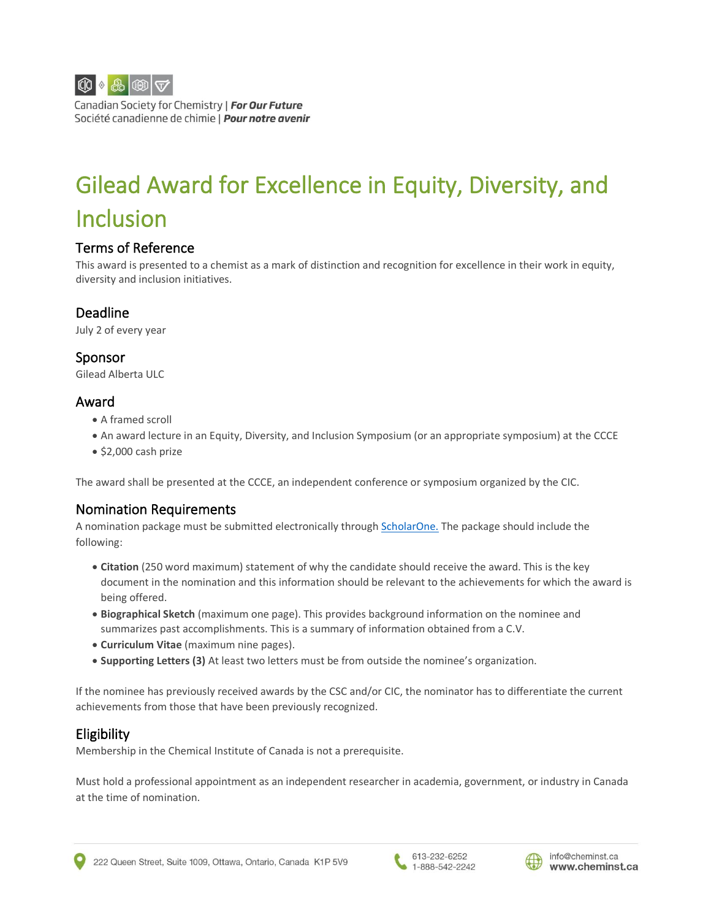

Canadian Society for Chemistry | For Our Future Société canadienne de chimie | Pour notre avenir

# Gilead Award for Excellence in Equity, Diversity, and Inclusion

#### Terms of Reference

This award is presented to a chemist as a mark of distinction and recognition for excellence in their work in equity, diversity and inclusion initiatives.

## Deadline

July 2 of every year

Sponsor Gilead Alberta ULC

#### Award

- A framed scroll
- An award lecture in an Equity, Diversity, and Inclusion Symposium (or an appropriate symposium) at the CCCE
- \$2,000 cash prize

The award shall be presented at the CCCE, an independent conference or symposium organized by the CIC.

## Nomination Requirements

A nomination package must be submitted electronically throug[h ScholarOne.](https://mc04.manuscriptcentral.com/cicawards) The package should include the following:

- **Citation** (250 word maximum) statement of why the candidate should receive the award. This is the key document in the nomination and this information should be relevant to the achievements for which the award is being offered.
- **Biographical Sketch** (maximum one page). This provides background information on the nominee and summarizes past accomplishments. This is a summary of information obtained from a C.V.
- **Curriculum Vitae** (maximum nine pages).
- **Supporting Letters (3)** At least two letters must be from outside the nominee's organization.

If the nominee has previously received awards by the CSC and/or CIC, the nominator has to differentiate the current achievements from those that have been previously recognized.

## Eligibility

Membership in the Chemical Institute of Canada is not a prerequisite.

Must hold a professional appointment as an independent researcher in academia, government, or industry in Canada at the time of nomination.